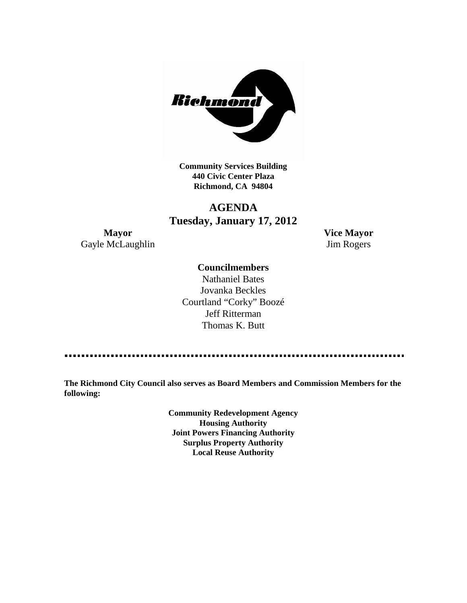

**Community Services Building 440 Civic Center Plaza Richmond, CA 94804**

# **AGENDA Tuesday, January 17, 2012**

**Mayor Vice Mayor** Gayle McLaughlin Jim Rogers

## **Councilmembers**

Nathaniel Bates Jovanka Beckles Courtland "Corky" Boozé Jeff Ritterman Thomas K. Butt

**The Richmond City Council also serves as Board Members and Commission Members for the following:**

> **Community Redevelopment Agency Housing Authority Joint Powers Financing Authority Surplus Property Authority Local Reuse Authority**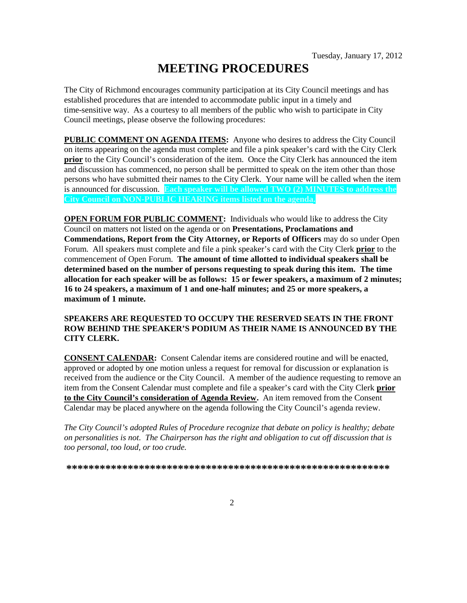# **MEETING PROCEDURES**

The City of Richmond encourages community participation at its City Council meetings and has established procedures that are intended to accommodate public input in a timely and time-sensitive way. As a courtesy to all members of the public who wish to participate in City Council meetings, please observe the following procedures:

**PUBLIC COMMENT ON AGENDA ITEMS:** Anyone who desires to address the City Council on items appearing on the agenda must complete and file a pink speaker's card with the City Clerk **prior** to the City Council's consideration of the item. Once the City Clerk has announced the item and discussion has commenced, no person shall be permitted to speak on the item other than those persons who have submitted their names to the City Clerk. Your name will be called when the item is announced for discussion. **Each speaker will be allowed TWO (2) MINUTES to address the City Council on NON-PUBLIC HEARING items listed on the agenda.**

**OPEN FORUM FOR PUBLIC COMMENT:** Individuals who would like to address the City Council on matters not listed on the agenda or on **Presentations, Proclamations and Commendations, Report from the City Attorney, or Reports of Officers** may do so under Open Forum. All speakers must complete and file a pink speaker's card with the City Clerk **prior** to the commencement of Open Forum. **The amount of time allotted to individual speakers shall be determined based on the number of persons requesting to speak during this item. The time allocation for each speaker will be as follows: 15 or fewer speakers, a maximum of 2 minutes; 16 to 24 speakers, a maximum of 1 and one-half minutes; and 25 or more speakers, a maximum of 1 minute.**

#### **SPEAKERS ARE REQUESTED TO OCCUPY THE RESERVED SEATS IN THE FRONT ROW BEHIND THE SPEAKER'S PODIUM AS THEIR NAME IS ANNOUNCED BY THE CITY CLERK.**

**CONSENT CALENDAR:** Consent Calendar items are considered routine and will be enacted, approved or adopted by one motion unless a request for removal for discussion or explanation is received from the audience or the City Council. A member of the audience requesting to remove an item from the Consent Calendar must complete and file a speaker's card with the City Clerk **prior to the City Council's consideration of Agenda Review.** An item removed from the Consent Calendar may be placed anywhere on the agenda following the City Council's agenda review.

*The City Council's adopted Rules of Procedure recognize that debate on policy is healthy; debate on personalities is not. The Chairperson has the right and obligation to cut off discussion that is too personal, too loud, or too crude.*

**\*\*\*\*\*\*\*\*\*\*\*\*\*\*\*\*\*\*\*\*\*\*\*\*\*\*\*\*\*\*\*\*\*\*\*\*\*\*\*\*\*\*\*\*\*\*\*\*\*\*\*\*\*\*\*\*\*\***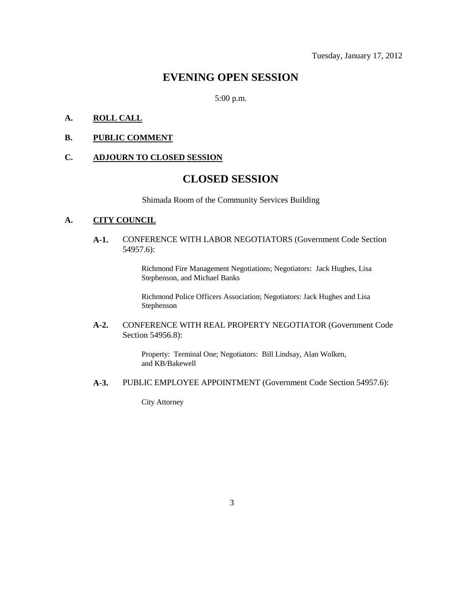# **EVENING OPEN SESSION**

5:00 p.m.

#### **A. ROLL CALL**

#### **B. PUBLIC COMMENT**

#### **C. ADJOURN TO CLOSED SESSION**

# **CLOSED SESSION**

Shimada Room of the Community Services Building

#### **A. CITY COUNCIL**

**A-1.** CONFERENCE WITH LABOR NEGOTIATORS (Government Code Section 54957.6):

> Richmond Fire Management Negotiations; Negotiators: Jack Hughes, Lisa Stephenson, and Michael Banks

> Richmond Police Officers Association; Negotiators: Jack Hughes and Lisa Stephenson

#### **A-2.** CONFERENCE WITH REAL PROPERTY NEGOTIATOR (Government Code Section 54956.8):

Property: Terminal One; Negotiators: Bill Lindsay, Alan Wolken, and KB/Bakewell

**A-3.** PUBLIC EMPLOYEE APPOINTMENT (Government Code Section 54957.6):

City Attorney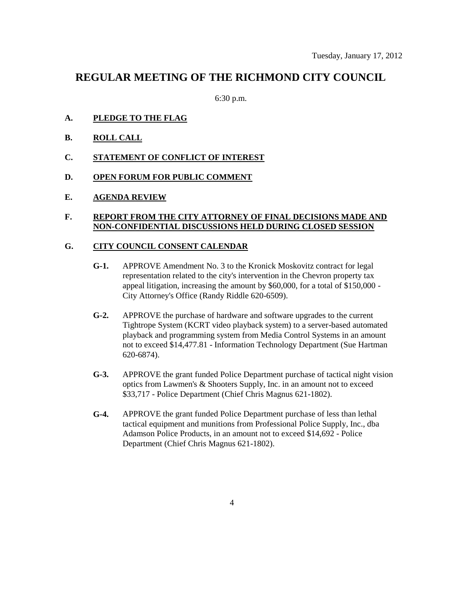# **REGULAR MEETING OF THE RICHMOND CITY COUNCIL**

6:30 p.m.

- **A. PLEDGE TO THE FLAG**
- **B. ROLL CALL**
- **C. STATEMENT OF CONFLICT OF INTEREST**
- **D. OPEN FORUM FOR PUBLIC COMMENT**
- **E. AGENDA REVIEW**

## **F. REPORT FROM THE CITY ATTORNEY OF FINAL DECISIONS MADE AND NON-CONFIDENTIAL DISCUSSIONS HELD DURING CLOSED SESSION**

# **G. CITY COUNCIL CONSENT CALENDAR**

- **G-1.** APPROVE Amendment No. 3 to the Kronick Moskovitz contract for legal representation related to the city's intervention in the Chevron property tax appeal litigation, increasing the amount by \$60,000, for a total of \$150,000 - City Attorney's Office (Randy Riddle 620-6509).
- **G-2.** APPROVE the purchase of hardware and software upgrades to the current Tightrope System (KCRT video playback system) to a server-based automated playback and programming system from Media Control Systems in an amount not to exceed \$14,477.81 - Information Technology Department (Sue Hartman 620-6874).
- **G-3.** APPROVE the grant funded Police Department purchase of tactical night vision optics from Lawmen's & Shooters Supply, Inc. in an amount not to exceed \$33,717 - Police Department (Chief Chris Magnus 621-1802).
- **G-4.** APPROVE the grant funded Police Department purchase of less than lethal tactical equipment and munitions from Professional Police Supply, Inc., dba Adamson Police Products, in an amount not to exceed \$14,692 - Police Department (Chief Chris Magnus 621-1802).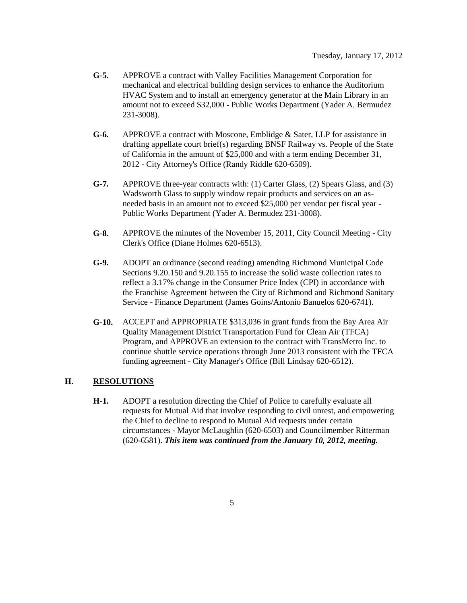- **G-5.** APPROVE a contract with Valley Facilities Management Corporation for mechanical and electrical building design services to enhance the Auditorium HVAC System and to install an emergency generator at the Main Library in an amount not to exceed \$32,000 - Public Works Department (Yader A. Bermudez 231-3008).
- **G-6.** APPROVE a contract with Moscone, Emblidge & Sater, LLP for assistance in drafting appellate court brief(s) regarding BNSF Railway vs. People of the State of California in the amount of \$25,000 and with a term ending December 31, 2012 - City Attorney's Office (Randy Riddle 620-6509).
- **G-7.** APPROVE three-year contracts with: (1) Carter Glass, (2) Spears Glass, and (3) Wadsworth Glass to supply window repair products and services on an asneeded basis in an amount not to exceed \$25,000 per vendor per fiscal year - Public Works Department (Yader A. Bermudez 231-3008).
- **G-8.** APPROVE the minutes of the November 15, 2011, City Council Meeting City Clerk's Office (Diane Holmes 620-6513).
- **G-9.** ADOPT an ordinance (second reading) amending Richmond Municipal Code Sections 9.20.150 and 9.20.155 to increase the solid waste collection rates to reflect a 3.17% change in the Consumer Price Index (CPI) in accordance with the Franchise Agreement between the City of Richmond and Richmond Sanitary Service - Finance Department (James Goins/Antonio Banuelos 620-6741).
- **G-10.** ACCEPT and APPROPRIATE \$313,036 in grant funds from the Bay Area Air Quality Management District Transportation Fund for Clean Air (TFCA) Program, and APPROVE an extension to the contract with TransMetro Inc. to continue shuttle service operations through June 2013 consistent with the TFCA funding agreement - City Manager's Office (Bill Lindsay 620-6512).

#### **H. RESOLUTIONS**

**H-1.** ADOPT a resolution directing the Chief of Police to carefully evaluate all requests for Mutual Aid that involve responding to civil unrest, and empowering the Chief to decline to respond to Mutual Aid requests under certain circumstances - Mayor McLaughlin (620-6503) and Councilmember Ritterman (620-6581). *This item was continued from the January 10, 2012, meeting.*